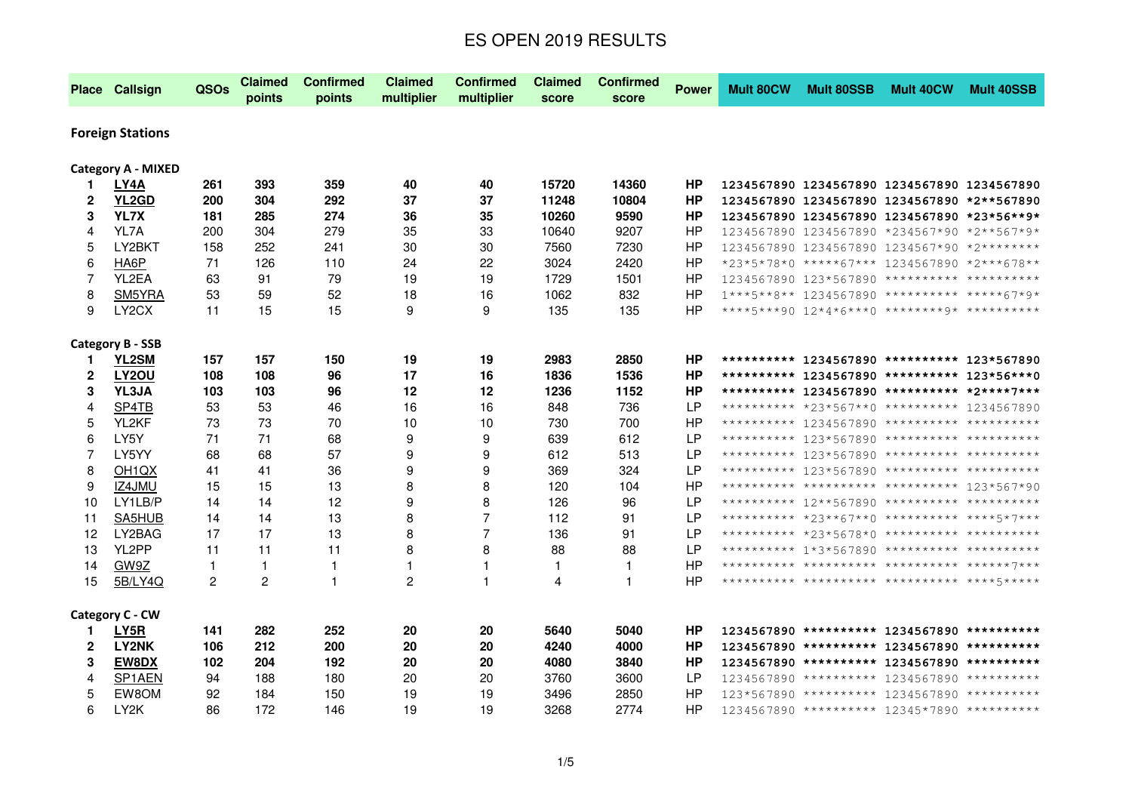| Place Callsign          |                           | QSOs           | <b>Claimed</b><br>points | <b>Confirmed</b><br>points | <b>Claimed</b><br>multiplier | <b>Confirmed</b><br>multiplier | <b>Claimed</b><br>score | <b>Confirmed</b><br>score | <b>Power</b> | <b>Mult 80CW</b> | <b>Mult 80SSB</b>                            | <b>Mult 40CW</b> | <b>Mult 40SSB</b>                           |
|-------------------------|---------------------------|----------------|--------------------------|----------------------------|------------------------------|--------------------------------|-------------------------|---------------------------|--------------|------------------|----------------------------------------------|------------------|---------------------------------------------|
| <b>Foreign Stations</b> |                           |                |                          |                            |                              |                                |                         |                           |              |                  |                                              |                  |                                             |
|                         | <b>Category A - MIXED</b> |                |                          |                            |                              |                                |                         |                           |              |                  |                                              |                  |                                             |
| 1.                      | LY4A                      | 261            | 393                      | 359                        | 40                           | 40                             | 15720                   | 14360                     | HP           |                  | 1234567890 1234567890 1234567890 1234567890  |                  |                                             |
| $\mathbf{2}$            | YL2GD                     | 200            | 304                      | 292                        | 37                           | 37                             | 11248                   | 10804                     | ΗP           |                  | 1234567890 1234567890 1234567890 *2**567890  |                  |                                             |
| 3                       | YL7X                      | 181            | 285                      | 274                        | 36                           | 35                             | 10260                   | 9590                      | HP           |                  | 1234567890 1234567890 1234567890 *23*56**9*  |                  |                                             |
| $\overline{4}$          | YL7A                      | 200            | 304                      | 279                        | 35                           | 33                             | 10640                   | 9207                      | <b>HP</b>    |                  | 1234567890 1234567890 *234567*90 *2**567*9*  |                  |                                             |
| 5                       | LY2BKT                    | 158            | 252                      | 241                        | 30                           | 30                             | 7560                    | 7230                      | <b>HP</b>    |                  | 1234567890 1234567890 1234567*90 *2***       |                  |                                             |
| 6                       | HA6P                      | 71             | 126                      | 110                        | 24                           | 22                             | 3024                    | 2420                      | <b>HP</b>    |                  | *23*5*78*0 *****67*** 1234567890 *2***678**  |                  |                                             |
| $\overline{7}$          | YL2EA                     | 63             | 91                       | 79                         | 19                           | 19                             | 1729                    | 1501                      | HP           |                  | 1234567890 123*567890 ********** *********** |                  |                                             |
| 8                       | SM5YRA                    | 53             | 59                       | 52                         | 18                           | 16                             | 1062                    | 832                       | HP           |                  | 1***5**8** 1234567890 ********** *****67*9*  |                  |                                             |
| 9                       | LY <sub>2</sub> CX        | 11             | 15                       | 15                         | 9                            | 9                              | 135                     | 135                       | <b>HP</b>    |                  |                                              |                  |                                             |
| <b>Category B - SSB</b> |                           |                |                          |                            |                              |                                |                         |                           |              |                  |                                              |                  |                                             |
| 1.                      | YL2SM                     | 157            | 157                      | 150                        | 19                           | 19                             | 2983                    | 2850                      | <b>HP</b>    |                  | ********** 1234567890 ********** 123*567890  |                  |                                             |
| $\overline{\mathbf{2}}$ | LY2OU                     | 108            | 108                      | 96                         | 17                           | 16                             | 1836                    | 1536                      | HP           |                  |                                              |                  | ********** 1234567890 ********** 123*56***0 |
| 3                       | YL3JA                     | 103            | 103                      | 96                         | 12                           | 12                             | 1236                    | 1152                      | <b>HP</b>    |                  | ********** 1234567890 ********** *2****7***  |                  |                                             |
| 4                       | SP4TB                     | 53             | 53                       | 46                         | 16                           | 16                             | 848                     | 736                       | LP           |                  | ********** *23*567**0 ********** 1234567890  |                  |                                             |
| 5                       | YL2KF                     | 73             | 73                       | 70                         | 10                           | 10                             | 730                     | 700                       | <b>HP</b>    |                  | ********** 1234567890 ********** *********** |                  |                                             |
| 6                       | LY5Y                      | 71             | 71                       | 68                         | 9                            | 9                              | 639                     | 612                       | LP           |                  | ********** 123*567890 ********** *********** |                  |                                             |
| 7                       | LY5YY                     | 68             | 68                       | 57                         | 9                            | 9                              | 612                     | 513                       | LP           |                  | ********** 123*567890 ********** *********** |                  |                                             |
| 8                       | OH <sub>1</sub> QX        | 41             | 41                       | 36                         | 9                            | 9                              | 369                     | 324                       | LP           |                  | ********** 123*567890 ********** **********  |                  |                                             |
| 9                       | IZ4JMU                    | 15             | 15                       | 13                         | 8                            | 8                              | 120                     | 104                       | HP           |                  | ********** ********** ********** 123*567*90  |                  |                                             |
| 10                      | LY1LB/P                   | 14             | 14                       | 12                         | 9                            | 8                              | 126                     | 96                        | LP           |                  | ********** 12**567890 ********** *********** |                  |                                             |
| 11                      | SA5HUB                    | 14             | 14                       | 13                         | 8                            | $\overline{7}$                 | 112                     | 91                        | LP           |                  | ********** *23**67**0 ********** ****5*7***  |                  |                                             |
| 12                      | LY2BAG                    | 17             | 17                       | 13                         | 8                            | $\overline{7}$                 | 136                     | 91                        | LP           |                  | ********** *23*5678*0 ********** *********** |                  |                                             |
| 13                      | YL2PP                     | 11             | 11                       | 11                         | 8                            | 8                              | 88                      | 88                        | LP           |                  | ********** 1*3*567890 ********** **********  |                  |                                             |
| 14                      | GW9Z                      | 1              | 1                        | 1                          | $\mathbf{1}$                 | $\mathbf{1}$                   | $\mathbf{1}$            | 1                         | ΗP           |                  | ********** ********** ********** *****7***   |                  |                                             |
| 15                      | 5B/LY4Q                   | $\overline{c}$ | 2                        | $\mathbf{1}$               | $\overline{c}$               | 1                              | 4                       | $\mathbf{1}$              | ΗP           |                  | ********** ********** ********** ****5****   |                  |                                             |
| Category C - CW         |                           |                |                          |                            |                              |                                |                         |                           |              |                  |                                              |                  |                                             |
| 1.                      | LY5R                      | 141            | 282                      | 252                        | 20                           | 20                             | 5640                    | 5040                      | ΗP           |                  | 1234567890 ********** 1234567890 **********  |                  |                                             |
| $\mathbf{2}$            | LY2NK                     | 106            | 212                      | 200                        | 20                           | 20                             | 4240                    | 4000                      | <b>HP</b>    |                  | 1234567890 ********** 1234567890 **********  |                  |                                             |
| 3                       | <b>EW8DX</b>              | 102            | 204                      | 192                        | 20                           | 20                             | 4080                    | 3840                      | HP           |                  | 1234567890 ********** 1234567890 **********  |                  |                                             |
| 4                       | SP <sub>1</sub> AEN       | 94             | 188                      | 180                        | 20                           | 20                             | 3760                    | 3600                      | LP.          |                  | 1234567890 ********** 1234567890 **********  |                  |                                             |
| 5                       |                           |                |                          |                            |                              |                                |                         |                           |              |                  |                                              |                  |                                             |
|                         | EW8OM                     | 92             | 184                      | 150                        | 19                           | 19                             | 3496                    | 2850                      | HP           |                  | 123*567890 ********** 1234567890 **********  |                  |                                             |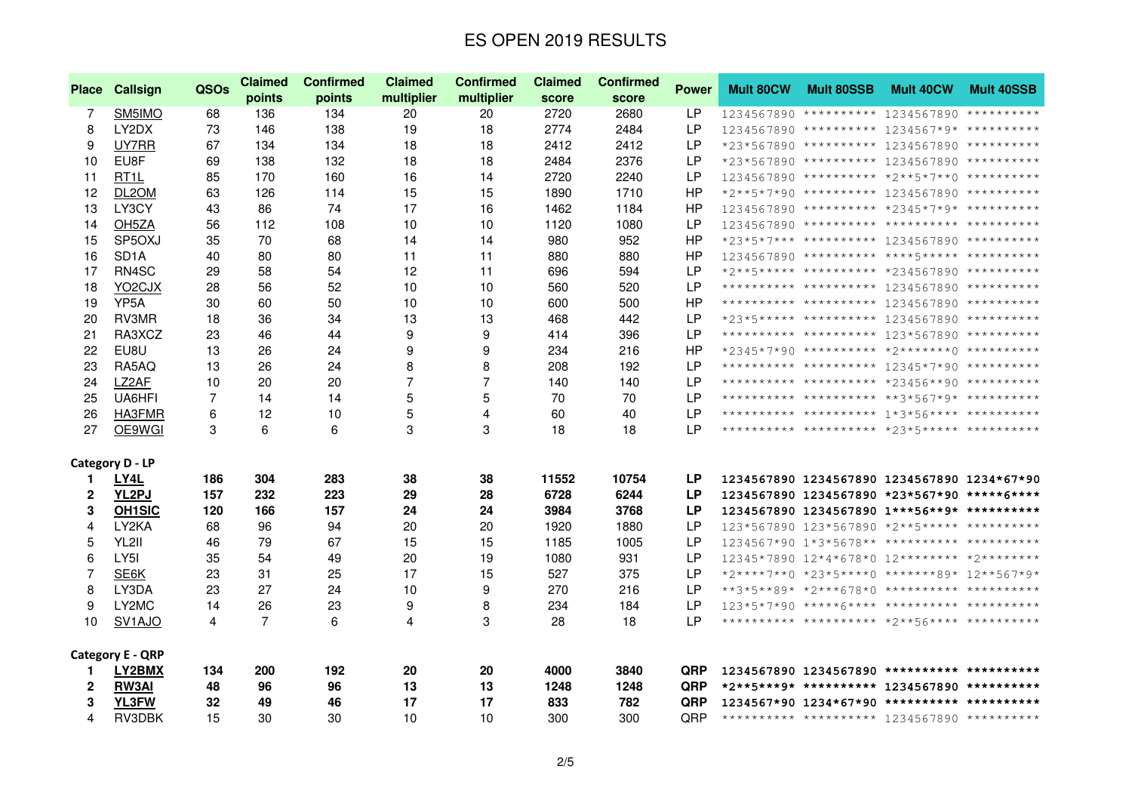| <b>Place</b> | Callsign                | QSOs | <b>Claimed</b> | <b>Confirmed</b> | Claimed        | <b>Confirmed</b> | <b>Claimed</b> | <b>Confirmed</b> | <b>Power</b> | <b>Mult 80CW</b> | <b>Mult 80SSB</b>                              | Mult 40CW | <b>Mult 40SSB</b> |
|--------------|-------------------------|------|----------------|------------------|----------------|------------------|----------------|------------------|--------------|------------------|------------------------------------------------|-----------|-------------------|
|              |                         |      | points         | points           | multiplier     | multiplier       | score          | score            |              |                  |                                                |           |                   |
| 7            | SM5IMO                  | 68   | 136            | 134              | 20             | 20               | 2720           | 2680             | LP.          |                  | 1234567890 ********** 1234567890 **********    |           |                   |
| 8            | LY2DX                   | 73   | 146            | 138              | 19             | 18               | 2774           | 2484             | <b>LP</b>    |                  | 1234567890 ********** 1234567*9* **********    |           |                   |
| 9            | UY7RR                   | 67   | 134            | 134              | 18             | 18               | 2412           | 2412             | LP           |                  | *23*567890 ********** 1234567890 **********    |           |                   |
| 10           | EU8F                    | 69   | 138            | 132              | 18             | 18               | 2484           | 2376             | LP.          |                  | *23*567890 ********** 1234567890 **********    |           |                   |
| 11           | RT <sub>1</sub> L       | 85   | 170            | 160              | 16             | 14               | 2720           | 2240             | LP.          |                  | 1234567890 ********** *2**5*7**0 **********    |           |                   |
| 12           | DL2OM                   | 63   | 126            | 114              | 15             | 15               | 1890           | 1710             | HP           |                  | *2**5*7*90 ********** 1234567890 **********    |           |                   |
| 13           | LY3CY                   | 43   | 86             | 74               | 17             | 16               | 1462           | 1184             | <b>HP</b>    |                  | 1234567890 ********** *2345*7*9* **********    |           |                   |
| 14           | OH <sub>5</sub> ZA      | 56   | 112            | 108              | 10             | 10               | 1120           | 1080             | LP           |                  | 1234567890 ********** ********** ***********   |           |                   |
| 15           | SP5OXJ                  | 35   | 70             | 68               | 14             | 14               | 980            | 952              | <b>HP</b>    |                  | *23*5*7*** ********** 1234567890 **********    |           |                   |
| 16           | SD <sub>1</sub> A       | 40   | 80             | 80               | 11             | 11               | 880            | 880              | <b>HP</b>    |                  | 1234567890 ********** ****5***** ***********   |           |                   |
| 17           | RN4SC                   | 29   | 58             | 54               | 12             | 11               | 696            | 594              | LP           |                  | *2**5***** ********** *234567890 **********    |           |                   |
| 18           | YO2CJX                  | 28   | 56             | 52               | 10             | 10               | 560            | 520              | LP           |                  | ********** ********** 1234567890 **********    |           |                   |
| 19           | YP <sub>5</sub> A       | 30   | 60             | 50               | 10             | 10               | 600            | 500              | HP           |                  | ********** ********** 1234567890 **********    |           |                   |
| 20           | RV3MR                   | 18   | 36             | 34               | 13             | 13               | 468            | 442              | LP           |                  | *23*5***** ********** 1234567890 **********    |           |                   |
| 21           | RA3XCZ                  | 23   | 46             | 44               | 9              | 9                | 414            | 396              | <b>LP</b>    |                  | ********** ********** 123*567890 **********    |           |                   |
| 22           | EU8U                    | 13   | 26             | 24               | 9              | 9                | 234            | 216              | ΗP           |                  | *2345*7*90 ********** *2*******0 **********    |           |                   |
| 23           | RA5AQ                   | 13   | 26             | 24               | 8              | 8                | 208            | 192              | LP           |                  | ********** ********** 12345*7*90 **********    |           |                   |
| 24           | LZ2AF                   | 10   | 20             | 20               | $\overline{7}$ | $\overline{7}$   | 140            | 140              | LP.          |                  | ********** ********** *23456**90 **********    |           |                   |
| 25           | UA6HFI                  | 7    | 14             | 14               | 5              | 5                | 70             | 70               | LP           |                  | ********** ********** **3*567*9* **********    |           |                   |
| 26           | HA3FMR                  | 6    | 12             | 10               | 5              | 4                | 60             | 40               | LP.          |                  | *********** ********** 1*3*56**** **********   |           |                   |
| 27           | OE9WGI                  | 3    | 6              | 6                | 3              | 3                | 18             | 18               | LP.          |                  |                                                |           |                   |
|              | <b>Category D - LP</b>  |      |                |                  |                |                  |                |                  |              |                  |                                                |           |                   |
| 1.           | LY4L                    | 186  | 304            | 283              | 38             | 38               | 11552          | 10754            | <b>LP</b>    |                  | 1234567890 1234567890 1234567890 1234*67*90    |           |                   |
| $\mathbf{2}$ | YL2PJ                   | 157  | 232            | 223              | 29             | 28               | 6728           | 6244             | LP           |                  | 1234567890 1234567890 *23*567*90 *****6****    |           |                   |
| 3            | <b>OH1SIC</b>           | 120  | 166            | 157              | 24             | 24               | 3984           | 3768             | <b>LP</b>    |                  | 1234567890 1234567890 1***56**9* **********    |           |                   |
| 4            | LY2KA                   | 68   | 96             | 94               | 20             | 20               | 1920           | 1880             | LP.          |                  | 123*567890 123*567890 *2**5***** ***********   |           |                   |
| 5            | YL2II                   | 46   | 79             | 67               | 15             | 15               | 1185           | 1005             | LP.          |                  | 1234567*90 1*3*5678** ********** ***********   |           |                   |
| 6            | LY5I                    | 35   | 54             | 49               | 20             | 19               | 1080           | 931              | LP           |                  | 12345*7890 12*4*678*0 12******** *2*********   |           |                   |
| 7            | SE6K                    | 23   | 31             | 25               | 17             | 15               | 527            | 375              | LP           |                  | *2****7**0 *23*5****0 *******89* 12**567*9*    |           |                   |
| 8            | LY3DA                   | 23   | 27             | 24               | 10             | 9                | 270            | 216              | <b>LP</b>    |                  | **3*5**89* *2***678*0 ********** ***********   |           |                   |
| 9            | LY2MC                   | 14   | 26             | 23               | 9              | 8                | 234            | 184              | LP           |                  | $123*5*7*90$ *****6**** ********** *********** |           |                   |
| 10           | SV <sub>1</sub> AJO     | 4    | 7              | 6                | 4              | 3                | 28             | 18               | LP.          |                  |                                                |           |                   |
|              | <b>Category E - QRP</b> |      |                |                  |                |                  |                |                  |              |                  |                                                |           |                   |
| 1.           | LY2BMX                  | 134  | 200            | 192              | 20             | 20               | 4000           | 3840             | <b>QRP</b>   |                  | 1234567890 1234567890 ********** ***********   |           |                   |
| $\mathbf{2}$ | <b>RW3AI</b>            | 48   | 96             | 96               | 13             | 13               | 1248           | 1248             | QRP          |                  | *2**5***9* ********** 1234567890 **********    |           |                   |
| 3            | YL3FW                   | 32   | 49             | 46               | 17             | 17               | 833            | 782              | QRP          |                  | 1234567*90 1234*67*90 ********** ***********   |           |                   |
| 4            | RV3DBK                  | 15   | 30             | 30               | 10             | 10               | 300            | 300              | QRP          |                  | ********** ********** 1234567890 **********    |           |                   |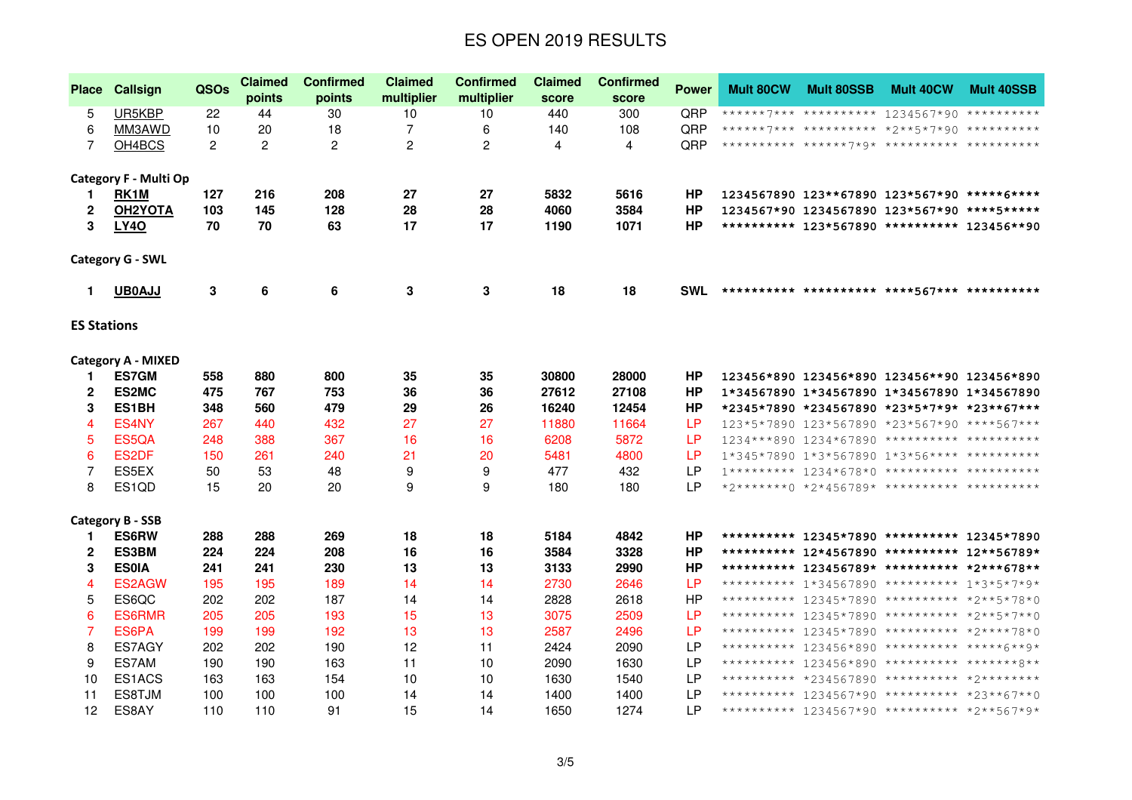| <b>Place</b>       | <b>Callsign</b>           | <b>QSOs</b>    | <b>Claimed</b><br>points | <b>Confirmed</b><br>points | <b>Claimed</b><br>multiplier | <b>Confirmed</b><br>multiplier | <b>Claimed</b><br>score | <b>Confirmed</b><br>score | <b>Power</b> | <b>Mult 80CW</b> | <b>Mult 80SSB</b> | <b>Mult 40CW</b>                                | <b>Mult 40SSB</b> |
|--------------------|---------------------------|----------------|--------------------------|----------------------------|------------------------------|--------------------------------|-------------------------|---------------------------|--------------|------------------|-------------------|-------------------------------------------------|-------------------|
| 5                  | UR5KBP                    | 22             | 44                       | 30                         | 10                           | 10                             | 440                     | 300                       | QRP          |                  |                   | ******7*** ********** 1234567*90 **********     |                   |
| 6                  | MM3AWD                    | 10             | 20                       | 18                         | 7                            | 6                              | 140                     | 108                       | QRP          |                  |                   | ******7*** ********** *2**5*7*90 **********     |                   |
| 7                  | OH4BCS                    | $\overline{2}$ | $\overline{2}$           | 2                          | 2                            | 2                              | 4                       | 4                         | QRP          |                  |                   |                                                 |                   |
|                    |                           |                |                          |                            |                              |                                |                         |                           |              |                  |                   |                                                 |                   |
|                    | Category F - Multi Op     |                |                          |                            |                              |                                |                         |                           |              |                  |                   |                                                 |                   |
| 1.                 | RK1M                      | 127            | 216                      | 208                        | 27                           | 27                             | 5832                    | 5616                      | HP           |                  |                   | 1234567890 123**67890 123*567*90 *****6****     |                   |
| 2                  | OH <sub>2YOTA</sub>       | 103            | 145                      | 128                        | 28                           | 28                             | 4060                    | 3584                      | HP           |                  |                   | 1234567*90 1234567890 123*567*90 ****5*****     |                   |
| 3                  | LY40                      | 70             | 70                       | 63                         | 17                           | 17                             | 1190                    | 1071                      | ΗP           |                  |                   | ********** 123*567890 ********** 123456**90     |                   |
|                    | <b>Category G - SWL</b>   |                |                          |                            |                              |                                |                         |                           |              |                  |                   |                                                 |                   |
| 1.                 | <b>UB0AJJ</b>             | 3              | 6                        | 6                          | 3                            | 3                              | 18                      | 18                        | <b>SWL</b>   |                  |                   |                                                 |                   |
| <b>ES Stations</b> |                           |                |                          |                            |                              |                                |                         |                           |              |                  |                   |                                                 |                   |
|                    | <b>Category A - MIXED</b> |                |                          |                            |                              |                                |                         |                           |              |                  |                   |                                                 |                   |
| 1.                 | <b>ES7GM</b>              | 558            | 880                      | 800                        | 35                           | 35                             | 30800                   | 28000                     | <b>HP</b>    |                  |                   | 123456*890 123456*890 123456**90 123456*890     |                   |
| 2                  | ES2MC                     | 475            | 767                      | 753                        | 36                           | 36                             | 27612                   | 27108                     | HP           |                  |                   | 1*34567890 1*34567890 1*34567890 1*34567890     |                   |
| 3                  | ES1BH                     | 348            | 560                      | 479                        | 29                           | 26                             | 16240                   | 12454                     | HP           |                  |                   | *2345*7890 *234567890 *23*5*7*9* *23**67***     |                   |
| 4                  | ES4NY                     | 267            | 440                      | 432                        | 27                           | 27                             | 11880                   | 11664                     | LP.          |                  |                   | 123*5*7890 123*567890 *23*567*90 ****567***     |                   |
| 5                  | ES5QA                     | 248            | 388                      | 367                        | 16                           | 16                             | 6208                    | 5872                      | LP           |                  |                   | 1234***890 1234*67890 ********** ***********    |                   |
| 6                  | ES2DF                     | 150            | 261                      | 240                        | 21                           | 20                             | 5481                    | 4800                      | LP           |                  |                   | 1*345*7890 1*3*567890 1*3*56**** *****          |                   |
| 7                  | ES5EX                     | 50             | 53                       | 48                         | 9                            | 9                              | 477                     | 432                       | LР           |                  |                   | $1********** 1234*678*0$ ********** *********** |                   |
| 8                  | ES1QD                     | 15             | 20                       | 20                         | 9                            | 9                              | 180                     | 180                       | LP           |                  |                   | *2*******0 *2*456789* ********** ***********    |                   |
|                    | <b>Category B - SSB</b>   |                |                          |                            |                              |                                |                         |                           |              |                  |                   |                                                 |                   |
| 1.                 | <b>ES6RW</b>              | 288            | 288                      | 269                        | 18                           | 18                             | 5184                    | 4842                      | <b>HP</b>    |                  |                   | ********** 12345*7890 ********** 12345*7890     |                   |
| 2                  | ES3BM                     | 224            | 224                      | 208                        | 16                           | 16                             | 3584                    | 3328                      | <b>HP</b>    |                  |                   | ********** 12*4567890 ********** 12**56789*     |                   |
| 3                  | <b>ES0IA</b>              | 241            | 241                      | 230                        | 13                           | 13                             | 3133                    | 2990                      | HP           |                  |                   | ********** 123456789* ********** *2***678**     |                   |
| 4                  | ES2AGW                    | 195            | 195                      | 189                        | 14                           | 14                             | 2730                    | 2646                      | <b>LP</b>    |                  |                   | ********** 1*34567890 ********** 1*3*5*7*9*     |                   |
| 5                  | ES6QC                     | 202            | 202                      | 187                        | 14                           | 14                             | 2828                    | 2618                      | HP           |                  |                   | ********** 12345*7890 ********** *2**5*78*0     |                   |
| 6                  | <b>ES6RMR</b>             | 205            | 205                      | 193                        | 15                           | 13                             | 3075                    | 2509                      | LР           |                  |                   | ********** 12345*7890 ********** *2**5*7**0     |                   |
| 7                  | ES6PA                     | 199            | 199                      | 192                        | 13                           | 13                             | 2587                    | 2496                      | <b>LP</b>    |                  |                   | ********** 12345*7890 ********** *2****78*0     |                   |
| 8                  | ES7AGY                    | 202            | 202                      | 190                        | 12                           | 11                             | 2424                    | 2090                      | LP           |                  |                   | ********** 123456*890 ********** *****6**9*     |                   |
| 9                  | ES7AM                     | 190            | 190                      | 163                        | 11                           | 10                             | 2090                    | 1630                      | LP           |                  |                   | ********** 123456*890 ********** *******8**     |                   |
| 10                 | ES1ACS                    | 163            | 163                      | 154                        | 10                           | 10                             | 1630                    | 1540                      | LP           |                  |                   | ********** *234567890 ********** *2*********    |                   |
| 11                 | ES8TJM                    | 100            | 100                      | 100                        | 14                           | 14                             | 1400                    | 1400                      | LР           |                  |                   | ********** 1234567*90 ********** *23**67**0     |                   |
| 12 <sup>°</sup>    | ES8AY                     | 110            | 110                      | 91                         | 15                           | 14                             | 1650                    | 1274                      | LР           |                  |                   | ********** 1234567*90 ********** *2**567*9*     |                   |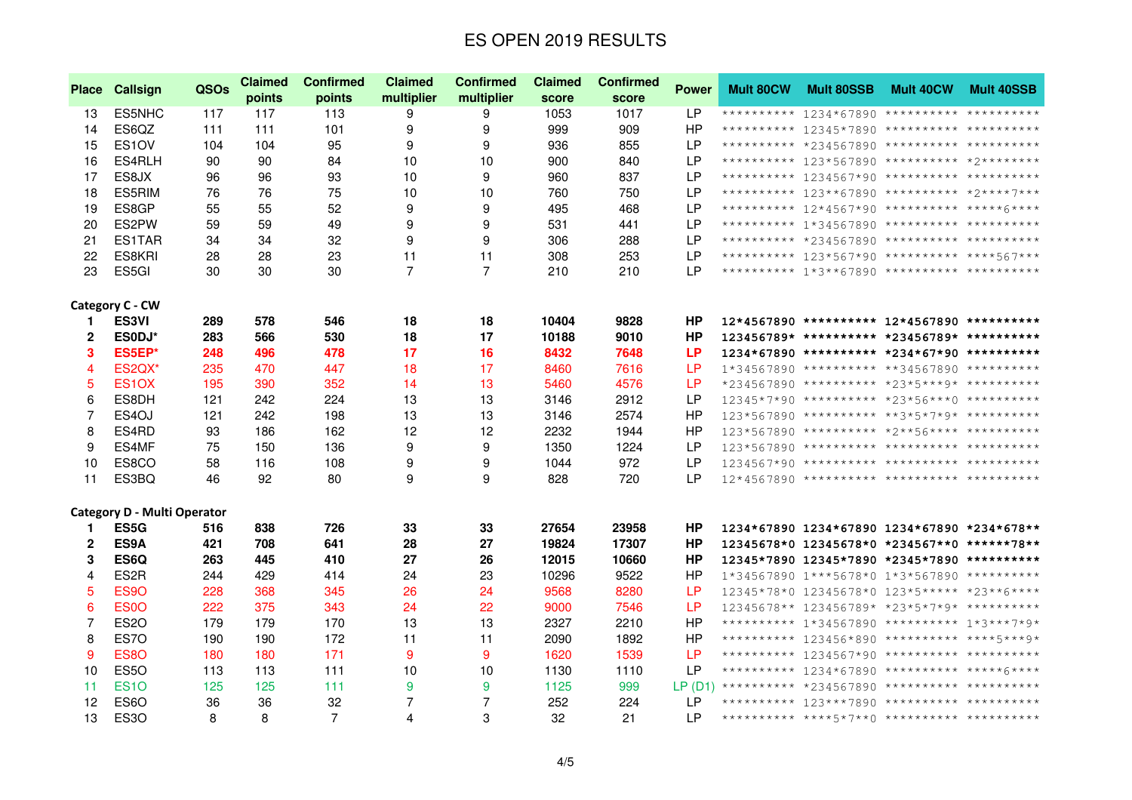| <b>Place</b>   | Callsign                           | <b>QSOs</b> | <b>Claimed</b> | <b>Confirmed</b> | <b>Claimed</b> | <b>Confirmed</b><br><b>Confirmed</b><br><b>Claimed</b> |       | <b>Mult 80CW</b><br><b>Power</b> | <b>Mult 80SSB</b> | <b>Mult 40CW</b> | <b>Mult 40SSB</b> |                                                |  |
|----------------|------------------------------------|-------------|----------------|------------------|----------------|--------------------------------------------------------|-------|----------------------------------|-------------------|------------------|-------------------|------------------------------------------------|--|
|                |                                    |             | points         | points           | multiplier     | multiplier                                             | score | score                            |                   |                  |                   |                                                |  |
| 13             | ES5NHC                             | 117         | 117            | 113              | 9              | 9                                                      | 1053  | 1017                             | LP.               |                  |                   | ********** 1234*67890 ********** ***********   |  |
| 14             | ES6QZ                              | 111         | 111            | 101              | 9              | 9                                                      | 999   | 909                              | HP                |                  |                   | ********** 12345*7890 ********** ***********   |  |
| 15             | ES1OV                              | 104         | 104            | 95               | 9              | 9                                                      | 936   | 855                              | <b>LP</b>         |                  |                   | ********** *234567890 ********** ***********   |  |
| 16             | ES4RLH                             | 90          | 90             | 84               | 10             | 10                                                     | 900   | 840                              | <b>LP</b>         |                  |                   | ********** 123*567890 ********** *2*********   |  |
| 17             | ES8JX                              | 96          | 96             | 93               | 10             | 9                                                      | 960   | 837                              | LP                |                  |                   | ********** 1234567*90 ********** ***********   |  |
| 18             | ES5RIM                             | 76          | 76             | 75               | 10             | 10                                                     | 760   | 750                              | LP                |                  |                   | ********** 123**67890 ********** *2****7***    |  |
| 19             | ES8GP                              | 55          | 55             | 52               | 9              | 9                                                      | 495   | 468                              | LP                |                  |                   | ********** 12*4567*90 ********** *****6****    |  |
| 20             | ES2PW                              | 59          | 59             | 49               | 9              | 9                                                      | 531   | 441                              | <b>LP</b>         |                  |                   | ********** 1*34567890 ********** ***********   |  |
| 21             | ES1TAR                             | 34          | 34             | 32               | 9              | 9                                                      | 306   | 288                              | LP                |                  |                   | ********** *234567890 ********** ***********   |  |
| 22             | ES8KRI                             | 28          | 28             | 23               | 11             | 11                                                     | 308   | 253                              | LP                |                  |                   | ********** 123*567*90 ********** ****567***    |  |
| 23             | ES <sub>5GI</sub>                  | 30          | 30             | 30               | $\overline{7}$ | $\overline{7}$                                         | 210   | 210                              | LP.               |                  |                   | ********** 1*3**67890 ********** ***********   |  |
|                | Category C - CW                    |             |                |                  |                |                                                        |       |                                  |                   |                  |                   |                                                |  |
| 1              | <b>ES3VI</b>                       | 289         | 578            | 546              | 18             | 18                                                     | 10404 | 9828                             | <b>HP</b>         |                  |                   | 12*4567890 ********** 12*4567890 **********    |  |
| $\mathbf{2}$   | ES0DJ*                             | 283         | 566            | 530              | 18             | 17                                                     | 10188 | 9010                             | HP                |                  |                   | 123456789* ********** *23456789* **********    |  |
| 3              | ES5EP*                             | 248         | 496            | 478              | 17             | 16                                                     | 8432  | 7648                             | <b>LP</b>         |                  |                   | $1234*67890$ ********** *234*67*90 **********  |  |
| 4              | ES2QX*                             | 235         | 470            | 447              | 18             | 17                                                     | 8460  | 7616                             | <b>LP</b>         |                  |                   | 1*34567890 ********** **34567890 **********    |  |
| 5              | ES <sub>1</sub> OX                 | 195         | 390            | 352              | 14             | 13                                                     | 5460  | 4576                             | <b>LP</b>         |                  |                   | *234567890 ********** *23*5***9* **********    |  |
| 6              | ES8DH                              | 121         | 242            | 224              | 13             | 13                                                     | 3146  | 2912                             | LP                |                  |                   | 12345*7*90 ********** *23*56***0 **********    |  |
| $\overline{7}$ | ES4OJ                              | 121         | 242            | 198              | 13             | 13                                                     | 3146  | 2574                             | HP                |                  |                   | 123*567890 ********** **3*5*7*9* **********    |  |
| 8              | ES4RD                              | 93          | 186            | 162              | 12             | 12                                                     | 2232  | 1944                             | <b>HP</b>         |                  |                   | 123*567890 ********** *2**56**** ***********   |  |
| 9              | ES4MF                              | 75          | 150            | 136              | 9              | 9                                                      | 1350  | 1224                             | LP                |                  |                   | $123*567890$ ********** ********** *********** |  |
| 10             | ES8CO                              | 58          | 116            | 108              | 9              | 9                                                      | 1044  | 972                              | LP                |                  |                   | $1234567*90$ ********** ********** *********** |  |
| 11             | ES3BQ                              | 46          | 92             | 80               | 9              | 9                                                      | 828   | 720                              | <b>LP</b>         |                  |                   | $12*4567890$ ********** ********** *********** |  |
|                | <b>Category D - Multi Operator</b> |             |                |                  |                |                                                        |       |                                  |                   |                  |                   |                                                |  |
| 1              | ES5G                               | 516         | 838            | 726              | 33             | 33                                                     | 27654 | 23958                            | HP                |                  |                   | 1234*67890 1234*67890 1234*67890 *234*678**    |  |
| $\mathbf{2}$   | ES9A                               | 421         | 708            | 641              | 28             | 27                                                     | 19824 | 17307                            | <b>HP</b>         |                  |                   | 12345678*0 12345678*0 *234567**0 ******78**    |  |
| 3              | ES6Q                               | 263         | 445            | 410              | 27             | 26                                                     | 12015 | 10660                            | <b>HP</b>         |                  |                   | 12345*7890 12345*7890 *2345*7890 **********    |  |
| 4              | ES <sub>2R</sub>                   | 244         | 429            | 414              | 24             | 23                                                     | 10296 | 9522                             | HP                |                  |                   | 1*34567890 1***5678*0 1*3*567890 **********    |  |
| 5              | ES9O                               | 228         | 368            | 345              | 26             | 24                                                     | 9568  | 8280                             | <b>LP</b>         |                  |                   | 12345*78*0 12345678*0 123*5***** *23**6****    |  |
| 6              | ES <sub>0</sub> O                  | 222         | 375            | 343              | 24             | 22                                                     | 9000  | 7546                             | <b>LP</b>         |                  |                   | 12345678** 123456789* *23*5*7*9* **********    |  |
| $\overline{7}$ | <b>ES20</b>                        | 179         | 179            | 170              | 13             | 13                                                     | 2327  | 2210                             | HP                |                  |                   | ********** 1*34567890 ********** 1*3***7*9*    |  |
| 8              | ES7O                               | 190         | 190            | 172              | 11             | 11                                                     | 2090  | 1892                             | HP                |                  |                   | ********** 123456*890 ********** ****5***9*    |  |
| 9              | <b>ES80</b>                        | 180         | 180            | 171              | 9              | 9                                                      | 1620  | 1539                             | LP                |                  |                   | ********** 1234567*90 ********** ***********   |  |
| 10             | ES5O                               | 113         | 113            | 111              | 10             | 10                                                     | 1130  | 1110                             | LP                |                  |                   | ********** 1234*67890 ********** *****6****    |  |
| 11             | <b>ES10</b>                        | 125         | 125            | 111              | 9              | 9                                                      | 1125  | 999                              | LP(D1)            |                  |                   | ********** *234567890 ********** ***********   |  |
| 12             | <b>ES60</b>                        | 36          | 36             | 32               | $\overline{7}$ | 7                                                      | 252   | 224                              | LР                |                  |                   | ********** 123***7890 ********** ***********   |  |
| 13             | ES <sub>3</sub> O                  | 8           | 8              | $\overline{7}$   | $\overline{4}$ | 3                                                      | 32    | 21                               | LP                |                  |                   |                                                |  |